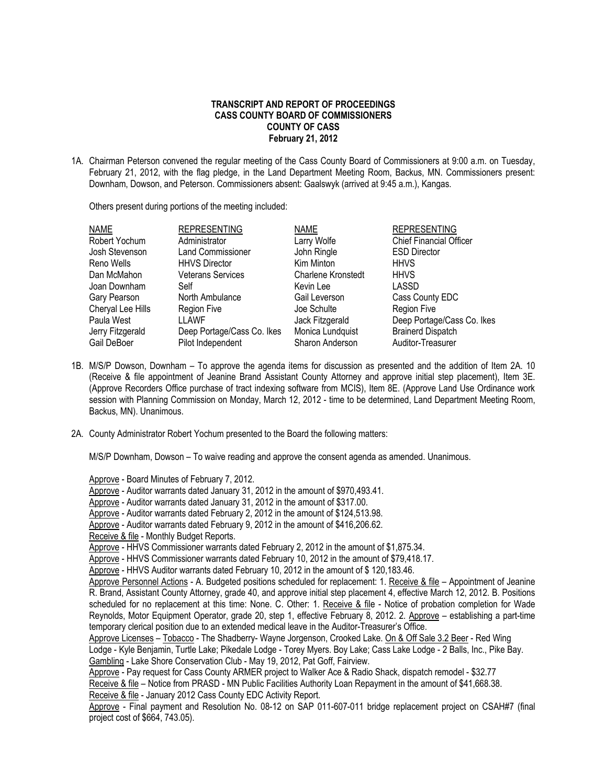## **TRANSCRIPT AND REPORT OF PROCEEDINGS CASS COUNTY BOARD OF COMMISSIONERS COUNTY OF CASS February 21, 2012**

1A. Chairman Peterson convened the regular meeting of the Cass County Board of Commissioners at 9:00 a.m. on Tuesday, February 21, 2012, with the flag pledge, in the Land Department Meeting Room, Backus, MN. Commissioners present: Downham, Dowson, and Peterson. Commissioners absent: Gaalswyk (arrived at 9:45 a.m.), Kangas.

Others present during portions of the meeting included:

| NAME              | <b>REPRESENTING</b>        | <b>NAME</b>               | <b>REPRESENTING</b>            |
|-------------------|----------------------------|---------------------------|--------------------------------|
| Robert Yochum     | Administrator              | Larry Wolfe               | <b>Chief Financial Officer</b> |
| Josh Stevenson    | <b>Land Commissioner</b>   | John Ringle               | <b>ESD Director</b>            |
| Reno Wells        | <b>HHVS Director</b>       | Kim Minton                | <b>HHVS</b>                    |
| Dan McMahon       | <b>Veterans Services</b>   | <b>Charlene Kronstedt</b> | <b>HHVS</b>                    |
| Joan Downham      | Self                       | Kevin Lee                 | LASSD                          |
| Gary Pearson      | North Ambulance            | Gail Leverson             | Cass County EDC                |
| Cheryal Lee Hills | <b>Region Five</b>         | Joe Schulte               | <b>Region Five</b>             |
| Paula West        | LLAWF                      | Jack Fitzgerald           | Deep Portage/Cass Co. Ikes     |
| Jerry Fitzgerald  | Deep Portage/Cass Co. Ikes | Monica Lundquist          | <b>Brainerd Dispatch</b>       |
| Gail DeBoer       | Pilot Independent          | Sharon Anderson           | Auditor-Treasurer              |

- 1B. M/S/P Dowson, Downham To approve the agenda items for discussion as presented and the addition of Item 2A. 10 (Receive & file appointment of Jeanine Brand Assistant County Attorney and approve initial step placement), Item 3E. (Approve Recorders Office purchase of tract indexing software from MCIS), Item 8E. (Approve Land Use Ordinance work session with Planning Commission on Monday, March 12, 2012 - time to be determined, Land Department Meeting Room, Backus, MN). Unanimous.
- 2A. County Administrator Robert Yochum presented to the Board the following matters:

M/S/P Downham, Dowson – To waive reading and approve the consent agenda as amended. Unanimous.

Approve - Board Minutes of February 7, 2012.

Approve - Auditor warrants dated January 31, 2012 in the amount of \$970,493.41.

Approve - Auditor warrants dated January 31, 2012 in the amount of \$317.00.

Approve - Auditor warrants dated February 2, 2012 in the amount of \$124,513.98.

Approve - Auditor warrants dated February 9, 2012 in the amount of \$416,206.62.

Receive & file - Monthly Budget Reports.

Approve - HHVS Commissioner warrants dated February 2, 2012 in the amount of \$1,875.34.

Approve - HHVS Commissioner warrants dated February 10, 2012 in the amount of \$79,418.17.

Approve - HHVS Auditor warrants dated February 10, 2012 in the amount of \$ 120,183.46.

Approve Personnel Actions - A. Budgeted positions scheduled for replacement: 1. Receive & file – Appointment of Jeanine R. Brand, Assistant County Attorney, grade 40, and approve initial step placement 4, effective March 12, 2012. B. Positions scheduled for no replacement at this time: None. C. Other: 1. Receive & file - Notice of probation completion for Wade Reynolds, Motor Equipment Operator, grade 20, step 1, effective February 8, 2012. 2. Approve – establishing a part-time temporary clerical position due to an extended medical leave in the Auditor-Treasurer's Office.

Approve Licenses – Tobacco - The Shadberry- Wayne Jorgenson, Crooked Lake. On & Off Sale 3.2 Beer - Red Wing Lodge - Kyle Benjamin, Turtle Lake; Pikedale Lodge - Torey Myers. Boy Lake; Cass Lake Lodge - 2 Balls, Inc., Pike Bay. Gambling - Lake Shore Conservation Club - May 19, 2012, Pat Goff, Fairview.

Approve - Pay request for Cass County ARMER project to Walker Ace & Radio Shack, dispatch remodel - \$32.77 Receive & file – Notice from PRASD - MN Public Facilities Authority Loan Repayment in the amount of \$41,668.38. Receive & file - January 2012 Cass County EDC Activity Report.

Approve - Final payment and Resolution No. 08-12 on SAP 011-607-011 bridge replacement project on CSAH#7 (final project cost of \$664, 743.05).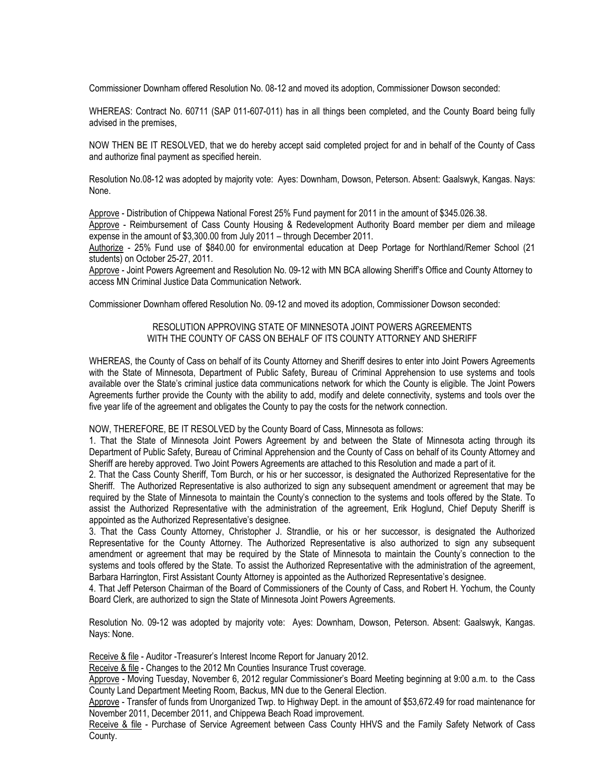Commissioner Downham offered Resolution No. 08-12 and moved its adoption, Commissioner Dowson seconded:

WHEREAS: Contract No. 60711 (SAP 011-607-011) has in all things been completed, and the County Board being fully advised in the premises,

NOW THEN BE IT RESOLVED, that we do hereby accept said completed project for and in behalf of the County of Cass and authorize final payment as specified herein.

Resolution No.08-12 was adopted by majority vote: Ayes: Downham, Dowson, Peterson. Absent: Gaalswyk, Kangas. Nays: None.

Approve - Distribution of Chippewa National Forest 25% Fund payment for 2011 in the amount of \$345.026.38.

 Approve - Reimbursement of Cass County Housing & Redevelopment Authority Board member per diem and mileage expense in the amount of \$3,300.00 from July 2011 – through December 2011.

Authorize - 25% Fund use of \$840.00 for environmental education at Deep Portage for Northland/Remer School (21 students) on October 25-27, 2011.

Approve - Joint Powers Agreement and Resolution No. 09-12 with MN BCA allowing Sheriff's Office and County Attorney to access MN Criminal Justice Data Communication Network.

Commissioner Downham offered Resolution No. 09-12 and moved its adoption, Commissioner Dowson seconded:

## RESOLUTION APPROVING STATE OF MINNESOTA JOINT POWERS AGREEMENTS WITH THE COUNTY OF CASS ON BEHALF OF ITS COUNTY ATTORNEY AND SHERIFF

WHEREAS, the County of Cass on behalf of its County Attorney and Sheriff desires to enter into Joint Powers Agreements with the State of Minnesota, Department of Public Safety, Bureau of Criminal Apprehension to use systems and tools available over the State's criminal justice data communications network for which the County is eligible. The Joint Powers Agreements further provide the County with the ability to add, modify and delete connectivity, systems and tools over the five year life of the agreement and obligates the County to pay the costs for the network connection.

NOW, THEREFORE, BE IT RESOLVED by the County Board of Cass, Minnesota as follows:

1. That the State of Minnesota Joint Powers Agreement by and between the State of Minnesota acting through its Department of Public Safety, Bureau of Criminal Apprehension and the County of Cass on behalf of its County Attorney and Sheriff are hereby approved. Two Joint Powers Agreements are attached to this Resolution and made a part of it.

2. That the Cass County Sheriff, Tom Burch, or his or her successor, is designated the Authorized Representative for the Sheriff. The Authorized Representative is also authorized to sign any subsequent amendment or agreement that may be required by the State of Minnesota to maintain the County's connection to the systems and tools offered by the State. To assist the Authorized Representative with the administration of the agreement, Erik Hoglund, Chief Deputy Sheriff is appointed as the Authorized Representative's designee.

3. That the Cass County Attorney, Christopher J. Strandlie, or his or her successor, is designated the Authorized Representative for the County Attorney. The Authorized Representative is also authorized to sign any subsequent amendment or agreement that may be required by the State of Minnesota to maintain the County's connection to the systems and tools offered by the State. To assist the Authorized Representative with the administration of the agreement, Barbara Harrington, First Assistant County Attorney is appointed as the Authorized Representative's designee.

4. That Jeff Peterson Chairman of the Board of Commissioners of the County of Cass, and Robert H. Yochum, the County Board Clerk, are authorized to sign the State of Minnesota Joint Powers Agreements.

Resolution No. 09-12 was adopted by majority vote: Ayes: Downham, Dowson, Peterson. Absent: Gaalswyk, Kangas. Nays: None.

Receive & file - Auditor -Treasurer's Interest Income Report for January 2012.

Receive & file - Changes to the 2012 Mn Counties Insurance Trust coverage.

Approve - Moving Tuesday, November 6, 2012 regular Commissioner's Board Meeting beginning at 9:00 a.m. to the Cass County Land Department Meeting Room, Backus, MN due to the General Election.

Approve - Transfer of funds from Unorganized Twp. to Highway Dept. in the amount of \$53,672.49 for road maintenance for November 2011, December 2011, and Chippewa Beach Road improvement.

Receive & file - Purchase of Service Agreement between Cass County HHVS and the Family Safety Network of Cass County.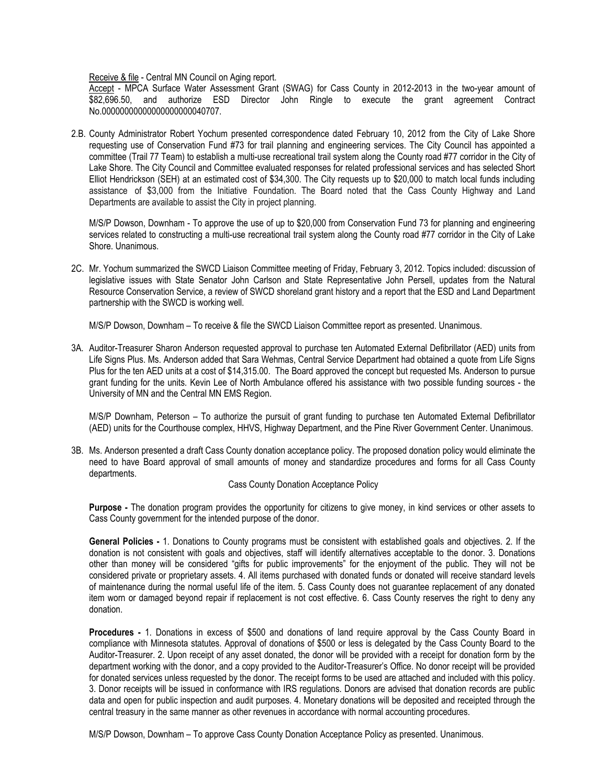Receive & file - Central MN Council on Aging report.

Accept - MPCA Surface Water Assessment Grant (SWAG) for Cass County in 2012-2013 in the two-year amount of \$82,696,50, and authorize ESD Director John Ringle to execute the grant agreement Contract No.00000000000000000000040707.

2.B. County Administrator Robert Yochum presented correspondence dated February 10, 2012 from the City of Lake Shore requesting use of Conservation Fund #73 for trail planning and engineering services. The City Council has appointed a committee (Trail 77 Team) to establish a multi-use recreational trail system along the County road #77 corridor in the City of Lake Shore. The City Council and Committee evaluated responses for related professional services and has selected Short Elliot Hendrickson (SEH) at an estimated cost of \$34,300. The City requests up to \$20,000 to match local funds including assistance of \$3,000 from the Initiative Foundation. The Board noted that the Cass County Highway and Land Departments are available to assist the City in project planning.

M/S/P Dowson, Downham - To approve the use of up to \$20,000 from Conservation Fund 73 for planning and engineering services related to constructing a multi-use recreational trail system along the County road #77 corridor in the City of Lake Shore. Unanimous.

2C. Mr. Yochum summarized the SWCD Liaison Committee meeting of Friday, February 3, 2012. Topics included: discussion of legislative issues with State Senator John Carlson and State Representative John Persell, updates from the Natural Resource Conservation Service, a review of SWCD shoreland grant history and a report that the ESD and Land Department partnership with the SWCD is working well.

M/S/P Dowson, Downham – To receive & file the SWCD Liaison Committee report as presented. Unanimous.

3A. Auditor-Treasurer Sharon Anderson requested approval to purchase ten Automated External Defibrillator (AED) units from Life Signs Plus. Ms. Anderson added that Sara Wehmas, Central Service Department had obtained a quote from Life Signs Plus for the ten AED units at a cost of \$14,315.00. The Board approved the concept but requested Ms. Anderson to pursue grant funding for the units. Kevin Lee of North Ambulance offered his assistance with two possible funding sources - the University of MN and the Central MN EMS Region.

M/S/P Downham, Peterson – To authorize the pursuit of grant funding to purchase ten Automated External Defibrillator (AED) units for the Courthouse complex, HHVS, Highway Department, and the Pine River Government Center. Unanimous.

3B. Ms. Anderson presented a draft Cass County donation acceptance policy. The proposed donation policy would eliminate the need to have Board approval of small amounts of money and standardize procedures and forms for all Cass County departments.

## Cass County Donation Acceptance Policy

**Purpose -** The donation program provides the opportunity for citizens to give money, in kind services or other assets to Cass County government for the intended purpose of the donor.

**General Policies -** 1. Donations to County programs must be consistent with established goals and objectives. 2. If the donation is not consistent with goals and objectives, staff will identify alternatives acceptable to the donor. 3. Donations other than money will be considered "gifts for public improvements" for the enjoyment of the public. They will not be considered private or proprietary assets. 4. All items purchased with donated funds or donated will receive standard levels of maintenance during the normal useful life of the item. 5. Cass County does not guarantee replacement of any donated item worn or damaged beyond repair if replacement is not cost effective. 6. Cass County reserves the right to deny any donation.

**Procedures -** 1. Donations in excess of \$500 and donations of land require approval by the Cass County Board in compliance with Minnesota statutes. Approval of donations of \$500 or less is delegated by the Cass County Board to the Auditor-Treasurer. 2. Upon receipt of any asset donated, the donor will be provided with a receipt for donation form by the department working with the donor, and a copy provided to the Auditor-Treasurer's Office. No donor receipt will be provided for donated services unless requested by the donor. The receipt forms to be used are attached and included with this policy. 3. Donor receipts will be issued in conformance with IRS regulations. Donors are advised that donation records are public data and open for public inspection and audit purposes. 4. Monetary donations will be deposited and receipted through the central treasury in the same manner as other revenues in accordance with normal accounting procedures.

M/S/P Dowson, Downham – To approve Cass County Donation Acceptance Policy as presented. Unanimous.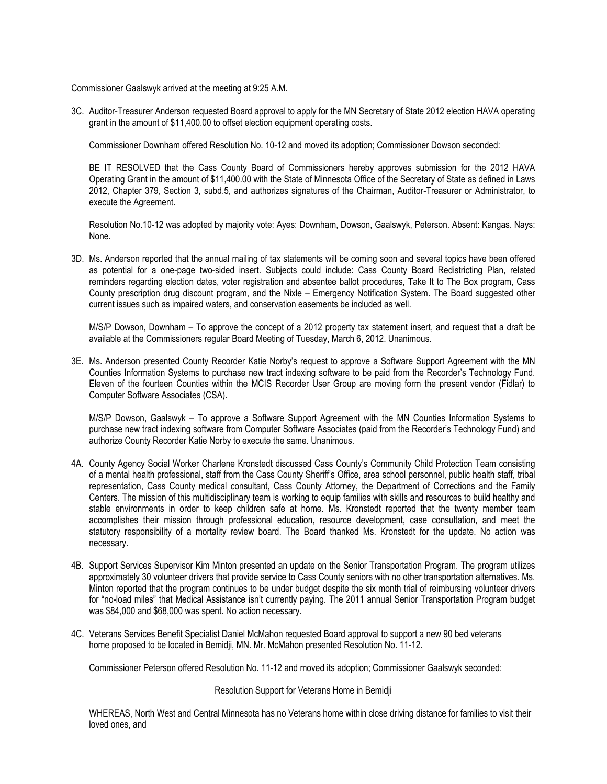Commissioner Gaalswyk arrived at the meeting at 9:25 A.M.

3C. Auditor-Treasurer Anderson requested Board approval to apply for the MN Secretary of State 2012 election HAVA operating grant in the amount of \$11,400.00 to offset election equipment operating costs.

Commissioner Downham offered Resolution No. 10-12 and moved its adoption; Commissioner Dowson seconded:

BE IT RESOLVED that the Cass County Board of Commissioners hereby approves submission for the 2012 HAVA Operating Grant in the amount of \$11,400.00 with the State of Minnesota Office of the Secretary of State as defined in Laws 2012, Chapter 379, Section 3, subd.5, and authorizes signatures of the Chairman, Auditor-Treasurer or Administrator, to execute the Agreement.

Resolution No.10-12 was adopted by majority vote: Ayes: Downham, Dowson, Gaalswyk, Peterson. Absent: Kangas. Nays: None.

3D. Ms. Anderson reported that the annual mailing of tax statements will be coming soon and several topics have been offered as potential for a one-page two-sided insert. Subjects could include: Cass County Board Redistricting Plan, related reminders regarding election dates, voter registration and absentee ballot procedures, Take It to The Box program, Cass County prescription drug discount program, and the Nixle – Emergency Notification System. The Board suggested other current issues such as impaired waters, and conservation easements be included as well.

M/S/P Dowson, Downham – To approve the concept of a 2012 property tax statement insert, and request that a draft be available at the Commissioners regular Board Meeting of Tuesday, March 6, 2012. Unanimous.

3E. Ms. Anderson presented County Recorder Katie Norby's request to approve a Software Support Agreement with the MN Counties Information Systems to purchase new tract indexing software to be paid from the Recorder's Technology Fund. Eleven of the fourteen Counties within the MCIS Recorder User Group are moving form the present vendor (Fidlar) to Computer Software Associates (CSA).

M/S/P Dowson, Gaalswyk – To approve a Software Support Agreement with the MN Counties Information Systems to purchase new tract indexing software from Computer Software Associates (paid from the Recorder's Technology Fund) and authorize County Recorder Katie Norby to execute the same. Unanimous.

- 4A. County Agency Social Worker Charlene Kronstedt discussed Cass County's Community Child Protection Team consisting of a mental health professional, staff from the Cass County Sheriff's Office, area school personnel, public health staff, tribal representation, Cass County medical consultant, Cass County Attorney, the Department of Corrections and the Family Centers. The mission of this multidisciplinary team is working to equip families with skills and resources to build healthy and stable environments in order to keep children safe at home. Ms. Kronstedt reported that the twenty member team accomplishes their mission through professional education, resource development, case consultation, and meet the statutory responsibility of a mortality review board. The Board thanked Ms. Kronstedt for the update. No action was necessary.
- 4B. Support Services Supervisor Kim Minton presented an update on the Senior Transportation Program. The program utilizes approximately 30 volunteer drivers that provide service to Cass County seniors with no other transportation alternatives. Ms. Minton reported that the program continues to be under budget despite the six month trial of reimbursing volunteer drivers for "no-load miles" that Medical Assistance isn't currently paying. The 2011 annual Senior Transportation Program budget was \$84,000 and \$68,000 was spent. No action necessary.
- 4C. Veterans Services Benefit Specialist Daniel McMahon requested Board approval to support a new 90 bed veterans home proposed to be located in Bemidji, MN. Mr. McMahon presented Resolution No. 11-12.

Commissioner Peterson offered Resolution No. 11-12 and moved its adoption; Commissioner Gaalswyk seconded:

## Resolution Support for Veterans Home in Bemidji

WHEREAS, North West and Central Minnesota has no Veterans home within close driving distance for families to visit their loved ones, and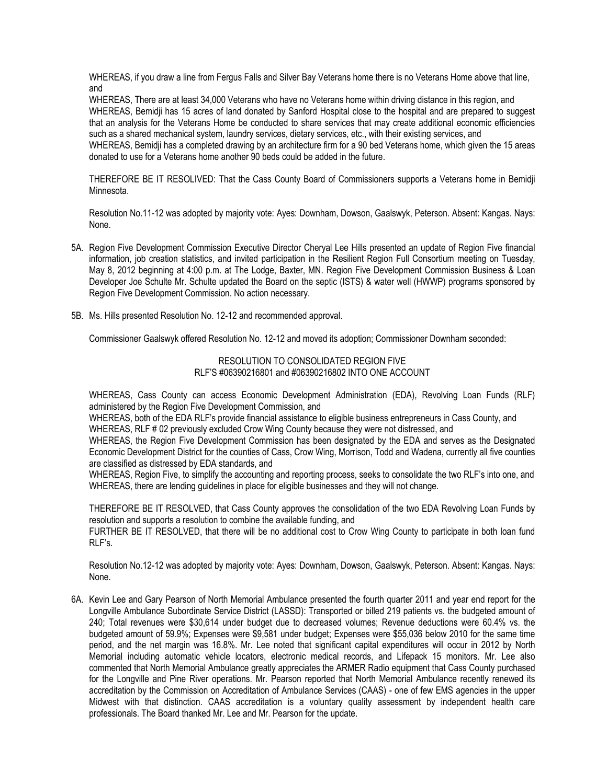WHEREAS, if you draw a line from Fergus Falls and Silver Bay Veterans home there is no Veterans Home above that line, and

WHEREAS, There are at least 34,000 Veterans who have no Veterans home within driving distance in this region, and WHEREAS, Bemidji has 15 acres of land donated by Sanford Hospital close to the hospital and are prepared to suggest that an analysis for the Veterans Home be conducted to share services that may create additional economic efficiencies such as a shared mechanical system, laundry services, dietary services, etc., with their existing services, and

WHEREAS, Bemidji has a completed drawing by an architecture firm for a 90 bed Veterans home, which given the 15 areas donated to use for a Veterans home another 90 beds could be added in the future.

THEREFORE BE IT RESOLIVED: That the Cass County Board of Commissioners supports a Veterans home in Bemidji Minnesota.

Resolution No.11-12 was adopted by majority vote: Ayes: Downham, Dowson, Gaalswyk, Peterson. Absent: Kangas. Nays: None.

- 5A. Region Five Development Commission Executive Director Cheryal Lee Hills presented an update of Region Five financial information, iob creation statistics, and invited participation in the Resilient Region Full Consortium meeting on Tuesday, May 8, 2012 beginning at 4:00 p.m. at The Lodge, Baxter, MN. Region Five Development Commission Business & Loan Developer Joe Schulte Mr. Schulte updated the Board on the septic (ISTS) & water well (HWWP) programs sponsored by Region Five Development Commission. No action necessary.
- 5B. Ms. Hills presented Resolution No. 12-12 and recommended approval.

Commissioner Gaalswyk offered Resolution No. 12-12 and moved its adoption; Commissioner Downham seconded:

RESOLUTION TO CONSOLIDATED REGION FIVE RLF'S #06390216801 and #06390216802 INTO ONE ACCOUNT

WHEREAS, Cass County can access Economic Development Administration (EDA), Revolving Loan Funds (RLF) administered by the Region Five Development Commission, and

WHEREAS, both of the EDA RLF's provide financial assistance to eligible business entrepreneurs in Cass County, and WHEREAS, RLF # 02 previously excluded Crow Wing County because they were not distressed, and

WHEREAS, the Region Five Development Commission has been designated by the EDA and serves as the Designated Economic Development District for the counties of Cass, Crow Wing, Morrison, Todd and Wadena, currently all five counties are classified as distressed by EDA standards, and

WHEREAS, Region Five, to simplify the accounting and reporting process, seeks to consolidate the two RLF's into one, and WHEREAS, there are lending guidelines in place for eligible businesses and they will not change.

THEREFORE BE IT RESOLVED, that Cass County approves the consolidation of the two EDA Revolving Loan Funds by resolution and supports a resolution to combine the available funding, and

FURTHER BE IT RESOLVED, that there will be no additional cost to Crow Wing County to participate in both loan fund RLF's.

Resolution No.12-12 was adopted by majority vote: Ayes: Downham, Dowson, Gaalswyk, Peterson. Absent: Kangas. Nays: None.

6A. Kevin Lee and Gary Pearson of North Memorial Ambulance presented the fourth quarter 2011 and year end report for the Longville Ambulance Subordinate Service District (LASSD): Transported or billed 219 patients vs. the budgeted amount of 240; Total revenues were \$30,614 under budget due to decreased volumes; Revenue deductions were 60.4% vs. the budgeted amount of 59.9%; Expenses were \$9,581 under budget; Expenses were \$55,036 below 2010 for the same time period, and the net margin was 16.8%. Mr. Lee noted that significant capital expenditures will occur in 2012 by North Memorial including automatic vehicle locators, electronic medical records, and Lifepack 15 monitors. Mr. Lee also commented that North Memorial Ambulance greatly appreciates the ARMER Radio equipment that Cass County purchased for the Longville and Pine River operations. Mr. Pearson reported that North Memorial Ambulance recently renewed its accreditation by the Commission on Accreditation of Ambulance Services (CAAS) - one of few EMS agencies in the upper Midwest with that distinction. CAAS accreditation is a voluntary quality assessment by independent health care professionals. The Board thanked Mr. Lee and Mr. Pearson for the update.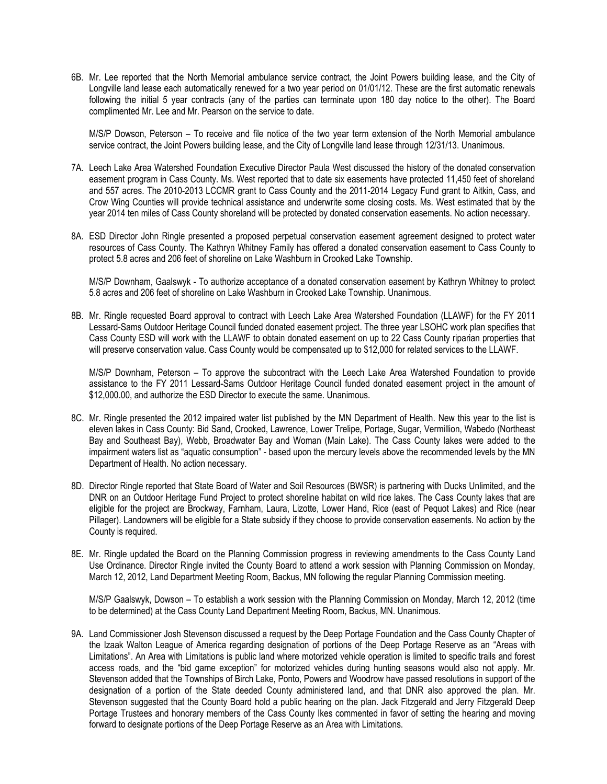6B. Mr. Lee reported that the North Memorial ambulance service contract, the Joint Powers building lease, and the City of Longville land lease each automatically renewed for a two year period on 01/01/12. These are the first automatic renewals following the initial 5 year contracts (any of the parties can terminate upon 180 day notice to the other). The Board complimented Mr. Lee and Mr. Pearson on the service to date.

M/S/P Dowson, Peterson – To receive and file notice of the two year term extension of the North Memorial ambulance service contract, the Joint Powers building lease, and the City of Longville land lease through 12/31/13. Unanimous.

- 7A. Leech Lake Area Watershed Foundation Executive Director Paula West discussed the history of the donated conservation easement program in Cass County. Ms. West reported that to date six easements have protected 11,450 feet of shoreland and 557 acres. The 2010-2013 LCCMR grant to Cass County and the 2011-2014 Legacy Fund grant to Aitkin, Cass, and Crow Wing Counties will provide technical assistance and underwrite some closing costs. Ms. West estimated that by the year 2014 ten miles of Cass County shoreland will be protected by donated conservation easements. No action necessary.
- 8A. ESD Director John Ringle presented a proposed perpetual conservation easement agreement designed to protect water resources of Cass County. The Kathryn Whitney Family has offered a donated conservation easement to Cass County to protect 5.8 acres and 206 feet of shoreline on Lake Washburn in Crooked Lake Township.

M/S/P Downham, Gaalswyk - To authorize acceptance of a donated conservation easement by Kathryn Whitney to protect 5.8 acres and 206 feet of shoreline on Lake Washburn in Crooked Lake Township. Unanimous.

8B. Mr. Ringle requested Board approval to contract with Leech Lake Area Watershed Foundation (LLAWF) for the FY 2011 Lessard-Sams Outdoor Heritage Council funded donated easement project. The three year LSOHC work plan specifies that Cass County ESD will work with the LLAWF to obtain donated easement on up to 22 Cass County riparian properties that will preserve conservation value. Cass County would be compensated up to \$12,000 for related services to the LLAWF.

M/S/P Downham, Peterson – To approve the subcontract with the Leech Lake Area Watershed Foundation to provide assistance to the FY 2011 Lessard-Sams Outdoor Heritage Council funded donated easement project in the amount of \$12,000.00, and authorize the ESD Director to execute the same. Unanimous.

- 8C. Mr. Ringle presented the 2012 impaired water list published by the MN Department of Health. New this year to the list is eleven lakes in Cass County: Bid Sand, Crooked, Lawrence, Lower Trelipe, Portage, Sugar, Vermillion, Wabedo (Northeast Bay and Southeast Bay), Webb, Broadwater Bay and Woman (Main Lake). The Cass County lakes were added to the impairment waters list as "aquatic consumption" - based upon the mercury levels above the recommended levels by the MN Department of Health. No action necessary.
- 8D. Director Ringle reported that State Board of Water and Soil Resources (BWSR) is partnering with Ducks Unlimited, and the DNR on an Outdoor Heritage Fund Project to protect shoreline habitat on wild rice lakes. The Cass County lakes that are eligible for the project are Brockway, Farnham, Laura, Lizotte, Lower Hand, Rice (east of Pequot Lakes) and Rice (near Pillager). Landowners will be eligible for a State subsidy if they choose to provide conservation easements. No action by the County is required.
- 8E. Mr. Ringle updated the Board on the Planning Commission progress in reviewing amendments to the Cass County Land Use Ordinance. Director Ringle invited the County Board to attend a work session with Planning Commission on Monday, March 12, 2012, Land Department Meeting Room, Backus, MN following the regular Planning Commission meeting.

M/S/P Gaalswyk, Dowson – To establish a work session with the Planning Commission on Monday, March 12, 2012 (time to be determined) at the Cass County Land Department Meeting Room, Backus, MN. Unanimous.

9A. Land Commissioner Josh Stevenson discussed a request by the Deep Portage Foundation and the Cass County Chapter of the Izaak Walton League of America regarding designation of portions of the Deep Portage Reserve as an "Areas with Limitations". An Area with Limitations is public land where motorized vehicle operation is limited to specific trails and forest access roads, and the "bid game exception" for motorized vehicles during hunting seasons would also not apply. Mr. Stevenson added that the Townships of Birch Lake, Ponto, Powers and Woodrow have passed resolutions in support of the designation of a portion of the State deeded County administered land, and that DNR also approved the plan. Mr. Stevenson suggested that the County Board hold a public hearing on the plan. Jack Fitzgerald and Jerry Fitzgerald Deep Portage Trustees and honorary members of the Cass County Ikes commented in favor of setting the hearing and moving forward to designate portions of the Deep Portage Reserve as an Area with Limitations.